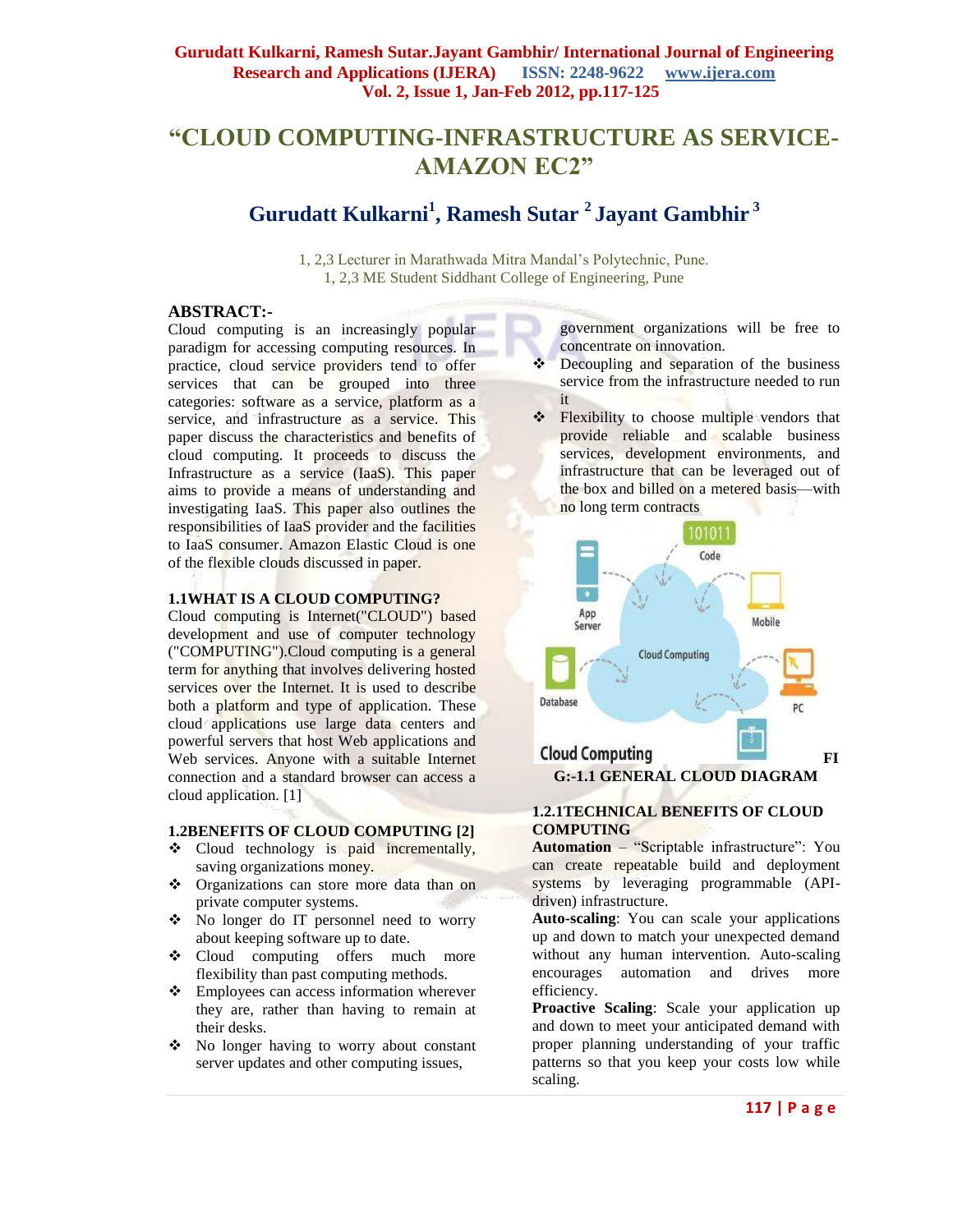# **"CLOUD COMPUTING-INFRASTRUCTURE AS SERVICE-AMAZON EC2"**

# **Gurudatt Kulkarni<sup>1</sup> , Ramesh Sutar <sup>2</sup> Jayant Gambhir <sup>3</sup>**

1, 2,3 Lecturer in Marathwada Mitra Mandal's Polytechnic, Pune. 1, 2,3 ME Student Siddhant College of Engineering, Pune

### **ABSTRACT:-**

Cloud computing is an increasingly popular paradigm for accessing computing resources. In practice, cloud service providers tend to offer services that can be grouped into three categories: software as a service, platform as a service, and infrastructure as a service. This paper discuss the characteristics and benefits of cloud computing. It proceeds to discuss the Infrastructure as a service (IaaS). This paper aims to provide a means of understanding and investigating IaaS. This paper also outlines the responsibilities of IaaS provider and the facilities to IaaS consumer. Amazon Elastic Cloud is one of the flexible clouds discussed in paper.

#### **1.1WHAT IS A CLOUD COMPUTING?**

Cloud computing is Internet("CLOUD") based development and use of computer technology ("COMPUTING").Cloud computing is a general term for anything that involves delivering hosted services over the Internet. It is used to describe both a platform and type of application. These cloud applications use large data centers and powerful servers that host Web applications and Web services. Anyone with a suitable Internet connection and a standard browser can access a cloud application. [1]

### **1.2BENEFITS OF CLOUD COMPUTING [2]**

- Cloud technology is paid incrementally, saving organizations money.
- \* Organizations can store more data than on private computer systems.
- No longer do IT personnel need to worry about keeping software up to date.
- Cloud computing offers much more flexibility than past computing methods.
- Employees can access information wherever they are, rather than having to remain at their desks.
- No longer having to worry about constant server updates and other computing issues,

government organizations will be free to concentrate on innovation.

- Decoupling and separation of the business service from the infrastructure needed to run it
- ❖ Flexibility to choose multiple vendors that provide reliable and scalable business services, development environments, and infrastructure that can be leveraged out of the box and billed on a metered basis—with no long term contracts



### **1.2.1TECHNICAL BENEFITS OF CLOUD COMPUTING**

Automation – "Scriptable infrastructure": You can create repeatable build and deployment systems by leveraging programmable (APIdriven) infrastructure.

**Auto-scaling**: You can scale your applications up and down to match your unexpected demand without any human intervention. Auto-scaling encourages automation and drives more efficiency.

**Proactive Scaling**: Scale your application up and down to meet your anticipated demand with proper planning understanding of your traffic patterns so that you keep your costs low while scaling.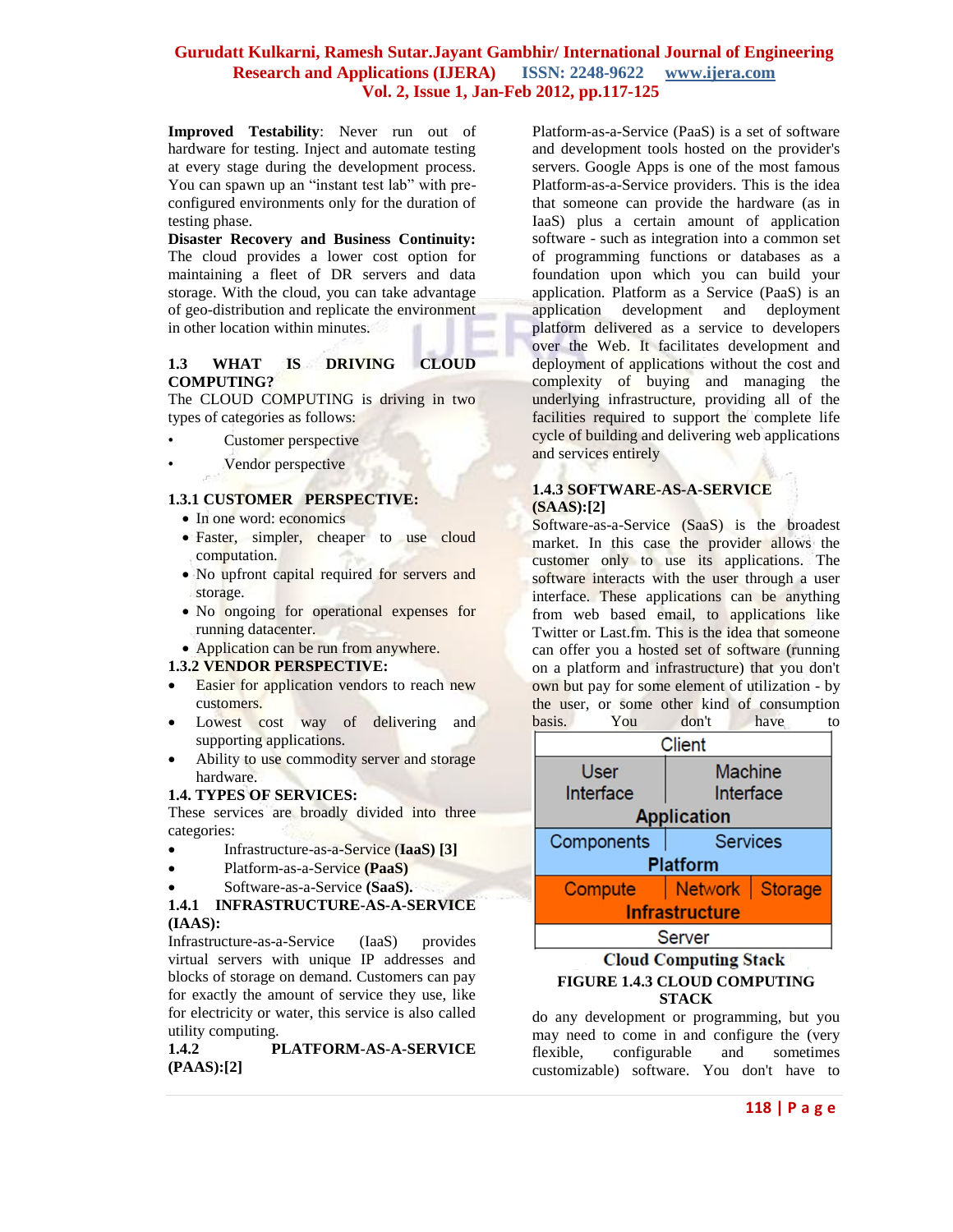**Improved Testability**: Never run out of hardware for testing. Inject and automate testing at every stage during the development process. You can spawn up an "instant test lab" with preconfigured environments only for the duration of testing phase.

**Disaster Recovery and Business Continuity:** The cloud provides a lower cost option for maintaining a fleet of DR servers and data storage. With the cloud, you can take advantage of geo-distribution and replicate the environment in other location within minutes.

### **1.3 WHAT IS DRIVING CLOUD COMPUTING?**

The CLOUD COMPUTING is driving in two types of categories as follows:

- Customer perspective
	- Vendor perspective

### **1.3.1 CUSTOMER PERSPECTIVE:**

- In one word: economics
- Faster, simpler, cheaper to use cloud computation.
- No upfront capital required for servers and storage.
- No ongoing for operational expenses for running datacenter.
- Application can be run from anywhere.

#### **1.3.2 VENDOR PERSPECTIVE:**

- Easier for application vendors to reach new customers.
- Lowest cost way of delivering and supporting applications.
- Ability to use commodity server and storage hardware.

### **1.4. TYPES OF SERVICES:**

These services are broadly divided into three categories:

- Infrastructure-as-a-Service (**IaaS) [3]**
- Platform-as-a-Service **(PaaS)**
- Software-as-a-Service **(SaaS).**

### **1.4.1 INFRASTRUCTURE-AS-A-SERVICE (IAAS):**

Infrastructure-as-a-Service (IaaS) provides virtual servers with unique IP addresses and blocks of storage on demand. Customers can pay for exactly the amount of service they use, like for electricity or water, this service is also called utility computing.

**1.4.2 PLATFORM-AS-A-SERVICE (PAAS):[2]**

Platform-as-a-Service (PaaS) is a set of software and development tools hosted on the provider's servers. Google Apps is one of the most famous Platform-as-a-Service providers. This is the idea that someone can provide the hardware (as in IaaS) plus a certain amount of application software - such as integration into a common set of programming functions or databases as a foundation upon which you can build your application. Platform as a Service (PaaS) is an application development and deployment platform delivered as a service to developers over the Web. It facilitates development and deployment of applications without the cost and complexity of buying and managing the underlying infrastructure, providing all of the facilities required to support the complete life cycle of building and delivering web applications and services entirely

### **1.4.3 SOFTWARE-AS-A-SERVICE (SAAS):[2]**

Software-as-a-Service (SaaS) is the broadest market. In this case the provider allows the customer only to use its applications. The software interacts with the user through a user interface. These applications can be anything from web based email, to applications like Twitter or Last.fm. This is the idea that someone can offer you a hosted set of software (running on a platform and infrastructure) that you don't own but pay for some element of utilization - by the user, or some other kind of consumption basis. You don't have to

| <b>Client</b>         |                   |  |  |
|-----------------------|-------------------|--|--|
| <b>User</b>           | <b>Machine</b>    |  |  |
| Interface             | Interface         |  |  |
| <b>Application</b>    |                   |  |  |
| Components            | Services          |  |  |
| <b>Platform</b>       |                   |  |  |
| Compute               | Network   Storage |  |  |
| <b>Infrastructure</b> |                   |  |  |
| <b>Server</b>         |                   |  |  |
|                       |                   |  |  |

### **Cloud Computing Stack FIGURE 1.4.3 CLOUD COMPUTING STACK**

do any development or programming, but you may need to come in and configure the (very flexible, configurable and sometimes customizable) software. You don't have to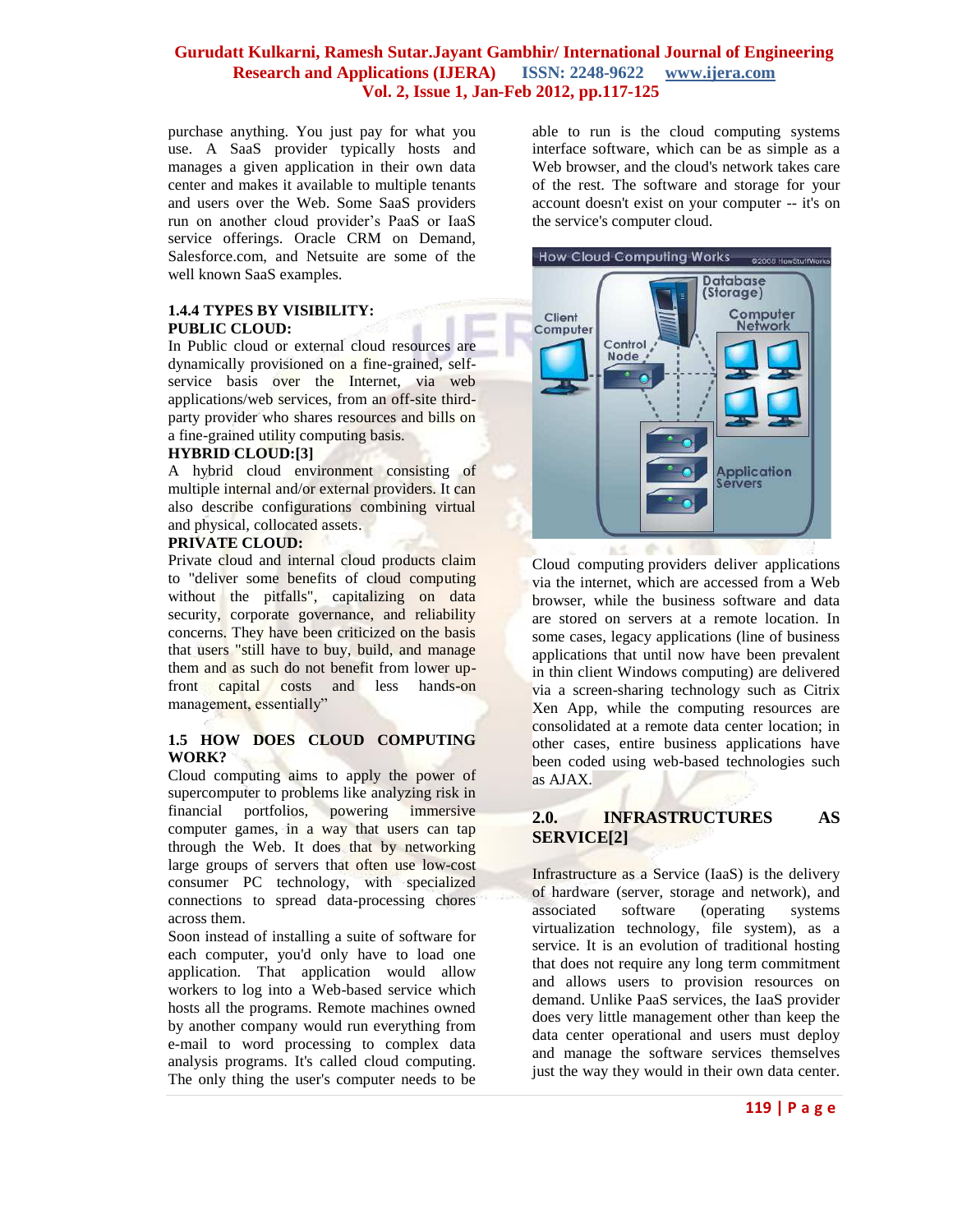purchase anything. You just pay for what you use. A SaaS provider typically hosts and manages a given application in their own data center and makes it available to multiple tenants and users over the Web. Some SaaS providers run on another cloud provider's PaaS or IaaS service offerings. Oracle CRM on Demand, Salesforce.com, and Netsuite are some of the well known SaaS examples.

### **1.4.4 TYPES BY VISIBILITY: PUBLIC CLOUD:**

In Public cloud or external cloud resources are dynamically provisioned on a fine-grained, selfservice basis over the Internet, via web applications/web services, from an off-site thirdparty provider who shares resources and bills on a fine-grained utility computing basis.

# **HYBRID CLOUD:[3]**

A hybrid cloud environment consisting of multiple internal and/or external providers. It can also describe configurations combining virtual and physical, collocated assets.

### **PRIVATE CLOUD:**

Private cloud and internal cloud products claim to "deliver some benefits of cloud computing without the pitfalls", capitalizing on data security, corporate governance, and reliability concerns. They have been criticized on the basis that users "still have to buy, build, and manage them and as such do not benefit from lower upfront capital costs and less hands-on management, essentially"

# **1.5 HOW DOES CLOUD COMPUTING WORK?**

Cloud computing aims to apply the power of supercomputer to problems like analyzing risk in financial portfolios, powering immersive computer games, in a way that users can tap through the Web. It does that by networking large groups of servers that often use low-cost consumer PC technology, with specialized connections to spread data-processing chores across them.

Soon instead of installing a suite of software for each computer, you'd only have to load one application. That application would allow workers to log into a Web-based service which hosts all the programs. Remote machines owned by another company would run everything from e-mail to word processing to complex data analysis programs. It's called cloud computing. The only thing the user's computer needs to be

able to run is the cloud computing systems interface software, which can be as simple as a Web browser, and the cloud's network takes care of the rest. The software and storage for your account doesn't exist on your computer -- it's on the service's computer cloud.



[Cloud computing](http://www.aboutcloudcomputing.net/) providers deliver applications via the internet, which are accessed from a Web browser, while the business software and data are stored on servers at a remote location. In some cases, legacy applications (line of business applications that until now have been prevalent in thin client Windows computing) are delivered via a screen-sharing technology such as Citrix Xen App, while the computing resources are consolidated at a remote data center location; in other cases, entire business applications have been coded using web-based technologies such as AJAX.

## **2.0. INFRASTRUCTURES AS SERVICE[2]**

Infrastructure as a Service (IaaS) is the delivery of hardware (server, storage and network), and associated software (operating systems virtualization technology, file system), as a service. It is an evolution of traditional hosting that does not require any long term commitment and allows users to provision resources on demand. Unlike PaaS services, the IaaS provider does very little management other than keep the data center operational and users must deploy and manage the software services themselves just the way they would in their own data center.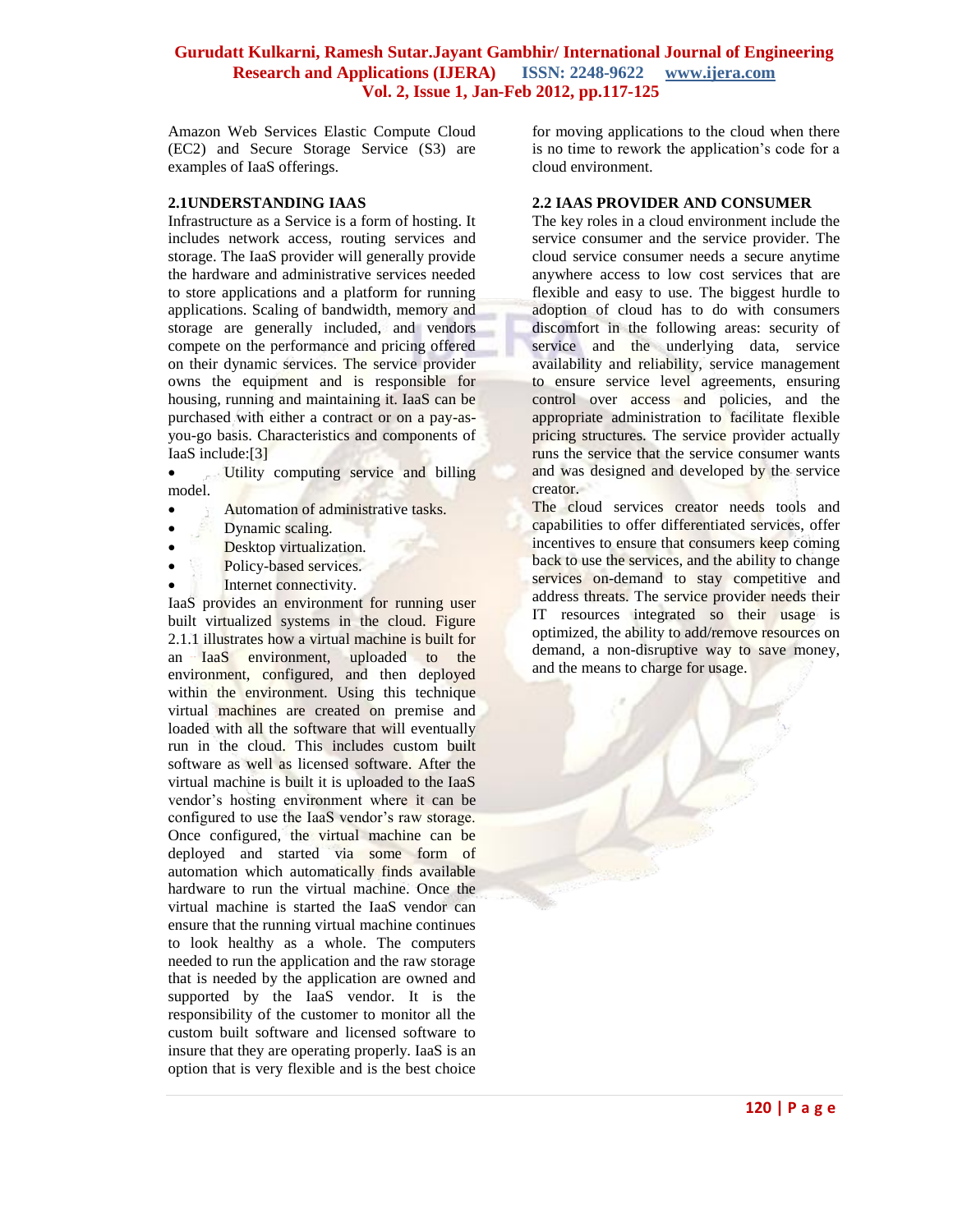Amazon Web Services Elastic Compute Cloud (EC2) and Secure Storage Service (S3) are examples of IaaS offerings.

#### **2.1UNDERSTANDING IAAS**

Infrastructure as a Service is a form of hosting. It includes network access, routing services and storage. The IaaS provider will generally provide the hardware and administrative services needed to store applications and a platform for running applications. Scaling of bandwidth, memory and storage are generally included, and vendors compete on the performance and pricing offered on their dynamic services. The service provider owns the equipment and is responsible for housing, running and maintaining it. IaaS can be purchased with either a contract or on a pay-asyou-go basis. Characteristics and components of IaaS include:[3]

• Utility computing service and billing model.

- Automation of administrative tasks.
- Dynamic scaling.
- Desktop virtualization.
- Policy-based services.
- Internet connectivity.

IaaS provides an environment for running user built virtualized systems in the cloud. Figure 2.1.1 illustrates how a virtual machine is built for an IaaS environment, uploaded to the environment, configured, and then deployed within the environment. Using this technique virtual machines are created on premise and loaded with all the software that will eventually run in the cloud. This includes custom built software as well as licensed software. After the virtual machine is built it is uploaded to the IaaS vendor's hosting environment where it can be configured to use the IaaS vendor's raw storage. Once configured, the virtual machine can be deployed and started via some form of automation which automatically finds available hardware to run the virtual machine. Once the virtual machine is started the IaaS vendor can ensure that the running virtual machine continues to look healthy as a whole. The computers needed to run the application and the raw storage that is needed by the application are owned and supported by the IaaS vendor. It is the responsibility of the customer to monitor all the custom built software and licensed software to insure that they are operating properly. IaaS is an option that is very flexible and is the best choice

for moving applications to the cloud when there is no time to rework the application's code for a cloud environment.

#### **2.2 IAAS PROVIDER AND CONSUMER**

The key roles in a cloud environment include the service consumer and the service provider. The cloud service consumer needs a secure anytime anywhere access to low cost services that are flexible and easy to use. The biggest hurdle to adoption of cloud has to do with consumers discomfort in the following areas: security of service and the underlying data, service availability and reliability, service management to ensure service level agreements, ensuring control over access and policies, and the appropriate administration to facilitate flexible pricing structures. The service provider actually runs the service that the service consumer wants and was designed and developed by the service creator.

The cloud services creator needs tools and capabilities to offer differentiated services, offer incentives to ensure that consumers keep coming back to use the services, and the ability to change services on-demand to stay competitive and address threats. The service provider needs their IT resources integrated so their usage is optimized, the ability to add/remove resources on demand, a non-disruptive way to save money, and the means to charge for usage.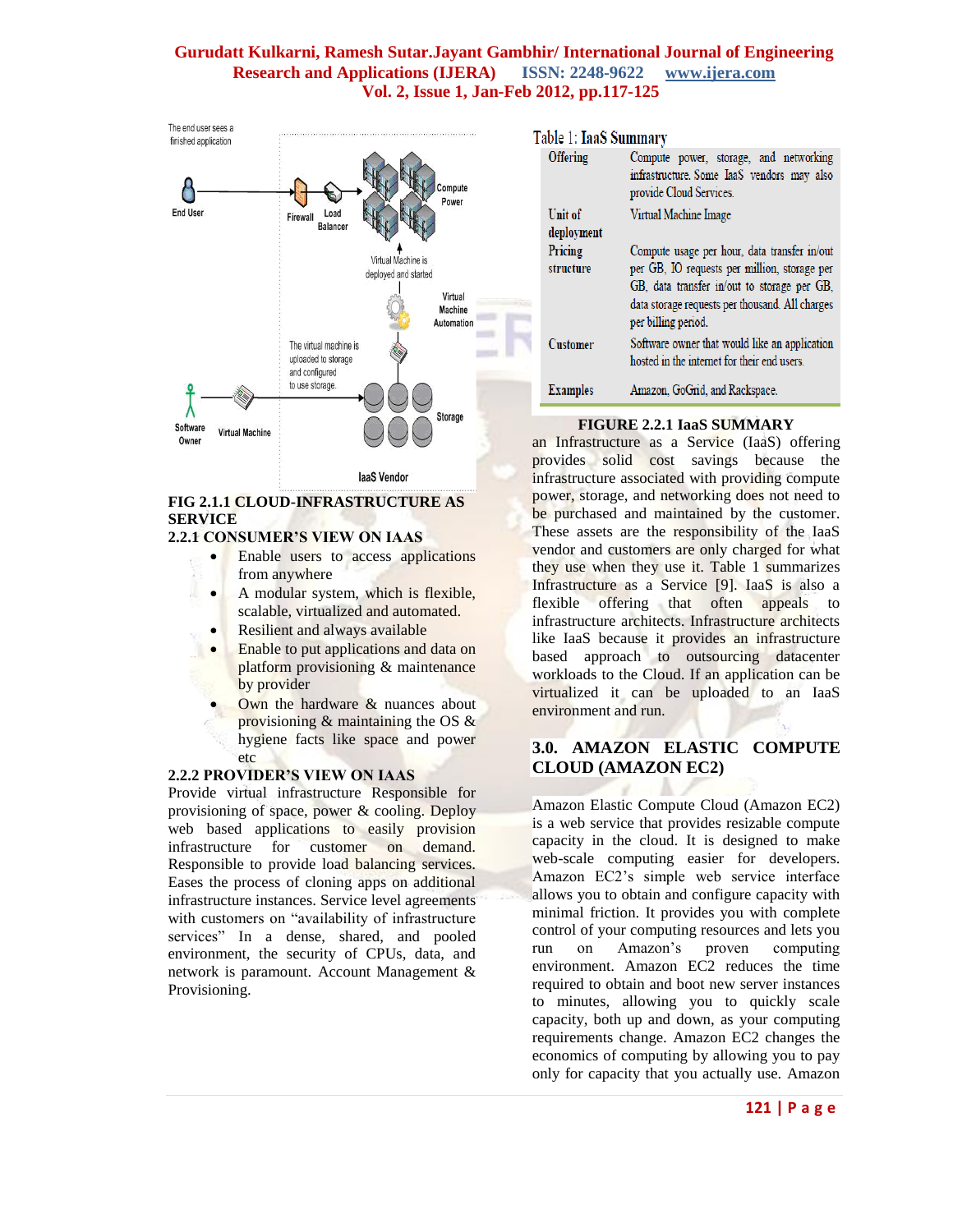

# **FIG 2.1.1 CLOUD-INFRASTRUCTURE AS SERVICE**

### **2.2.1 CONSUMER'S VIEW ON IAAS**

- Enable users to access applications from anywhere
- A modular system, which is flexible, scalable, virtualized and automated.
- Resilient and always available
- Enable to put applications and data on platform provisioning & maintenance by provider
- Own the hardware & nuances about provisioning & maintaining the OS & hygiene facts like space and power etc

### **2.2.2 PROVIDER'S VIEW ON IAAS**

Provide virtual infrastructure Responsible for provisioning of space, power & cooling. Deploy web based applications to easily provision infrastructure for customer on demand. Responsible to provide load balancing services. Eases the process of cloning apps on additional infrastructure instances. Service level agreements with customers on "availability of infrastructure services" In a dense, shared, and pooled environment, the security of CPUs, data, and network is paramount. Account Management & Provisioning.

| Table 1: IaaS Summary |                 |                                                                                                                                                                       |  |
|-----------------------|-----------------|-----------------------------------------------------------------------------------------------------------------------------------------------------------------------|--|
|                       | <b>Offering</b> | Compute power, storage, and networking<br>infrastructure. Some IaaS vendors may also<br>provide Cloud Services.                                                       |  |
|                       | Unit of         | Virtual Machine Image                                                                                                                                                 |  |
|                       | deployment      |                                                                                                                                                                       |  |
|                       | Pricing         | Compute usage per hour, data transfer in/out                                                                                                                          |  |
|                       | structure       | per GB, IO requests per million, storage per<br>GB, data transfer in/out to storage per GB,<br>data storage requests per thousand. All charges<br>per billing period. |  |
|                       | Customer        | Software owner that would like an application<br>hosted in the internet for their end users.                                                                          |  |
|                       | <b>Examples</b> | Amazon, GoGrid, and Rackspace.                                                                                                                                        |  |

# **FIGURE 2.2.1 IaaS SUMMARY**

an Infrastructure as a Service (IaaS) offering provides solid cost savings because the infrastructure associated with providing compute power, storage, and networking does not need to be purchased and maintained by the customer. These assets are the responsibility of the IaaS vendor and customers are only charged for what they use when they use it. Table 1 summarizes Infrastructure as a Service [9]. IaaS is also a flexible offering that often appeals to infrastructure architects. Infrastructure architects like IaaS because it provides an infrastructure based approach to outsourcing datacenter workloads to the Cloud. If an application can be virtualized it can be uploaded to an IaaS environment and run.

# **3.0. AMAZON ELASTIC COMPUTE CLOUD (AMAZON EC2)**

Amazon Elastic Compute Cloud (Amazon EC2) is a web service that provides resizable compute capacity in the cloud. It is designed to make web-scale computing easier for developers. Amazon EC2's simple web service interface allows you to obtain and configure capacity with minimal friction. It provides you with complete control of your computing resources and lets you run on Amazon's proven computing environment. Amazon EC2 reduces the time required to obtain and boot new server instances to minutes, allowing you to quickly scale capacity, both up and down, as your computing requirements change. Amazon EC2 changes the economics of computing by allowing you to pay only for capacity that you actually use. Amazon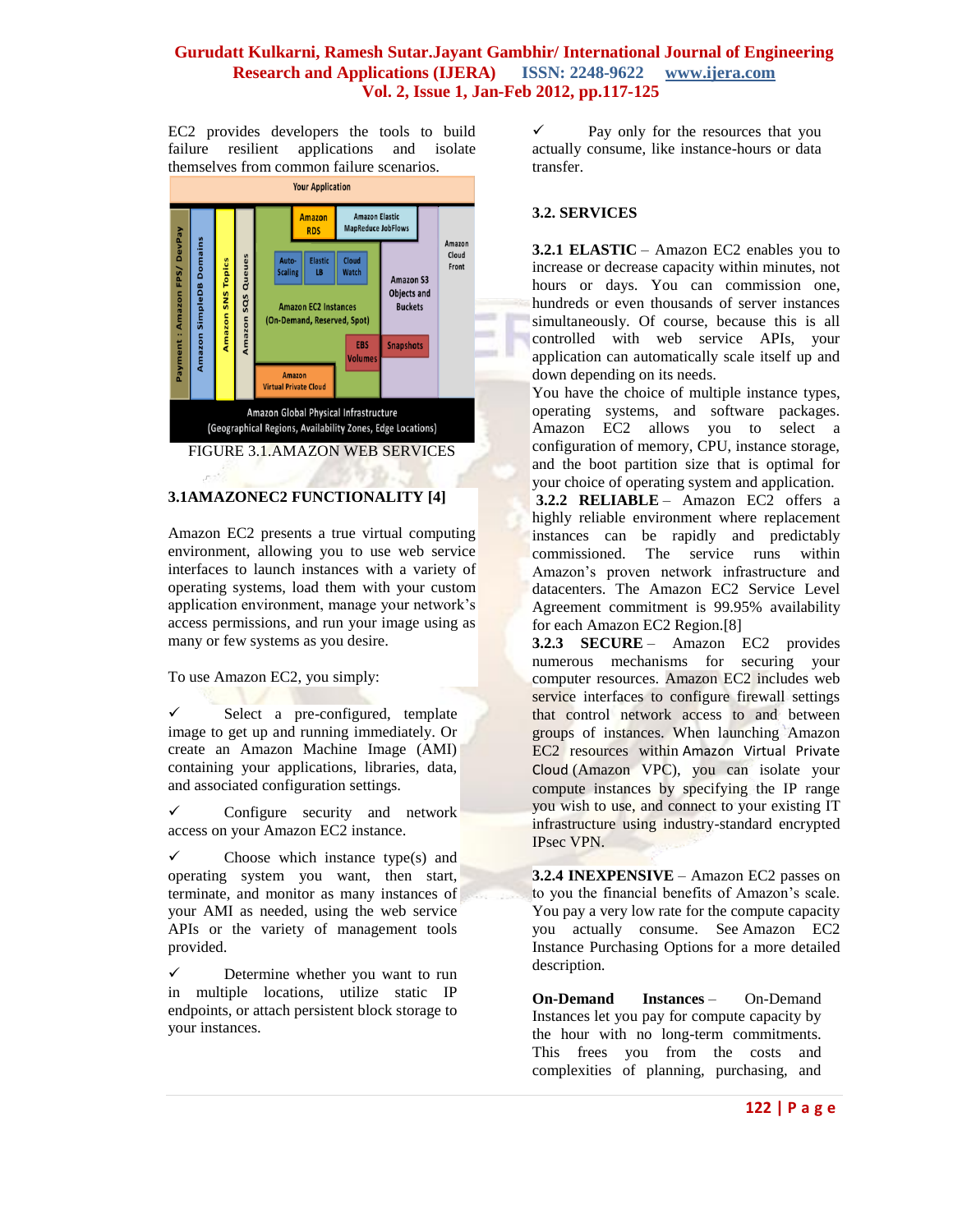EC2 provides developers the tools to build failure resilient applications and isolate themselves from common failure scenarios.



# FIGURE 3.1.AMAZON WEB SERVICES

# **3.1AMAZONEC2 FUNCTIONALITY [4]**

Amazon EC2 presents a true virtual computing environment, allowing you to use web service interfaces to launch instances with a variety of operating systems, load them with your custom application environment, manage your network's access permissions, and run your image using as many or few systems as you desire.

To use Amazon EC2, you simply:

 $\checkmark$  Select a pre-configured, template image to get up and running immediately. Or create an Amazon Machine Image (AMI) containing your applications, libraries, data, and associated configuration settings.

 $\checkmark$  Configure security and network access on your Amazon EC2 instance.

 $\checkmark$  Choose which instance type(s) and operating system you want, then start, terminate, and monitor as many instances of your AMI as needed, using the web service APIs or the variety of management tools provided.

 $\checkmark$  Determine whether you want to run in multiple locations, utilize static IP endpoints, or attach persistent block storage to your instances.

 $\checkmark$  Pay only for the resources that you actually consume, like instance-hours or data transfer.

### **3.2. SERVICES**

**3.2.1 ELASTIC** – Amazon EC2 enables you to increase or decrease capacity within minutes, not hours or days. You can commission one, hundreds or even thousands of server instances simultaneously. Of course, because this is all controlled with web service APIs, your application can automatically scale itself up and down depending on its needs.

You have the choice of multiple instance types, operating systems, and software packages. Amazon EC2 allows you to select a configuration of memory, CPU, instance storage, and the boot partition size that is optimal for your choice of operating system and application.

**3.2.2 RELIABLE** – Amazon EC2 offers a highly reliable environment where replacement instances can be rapidly and predictably commissioned. The service runs within Amazon's proven network infrastructure and datacenters. The Amazon EC2 Service Level Agreement commitment is 99.95% availability for each Amazon EC2 Region.[8]

**3.2.3 SECURE** – Amazon EC2 provides numerous mechanisms for securing your computer resources. Amazon EC2 includes web service interfaces to configure firewall settings that control network access to and between groups of instances. When launching Amazon EC2 resources within [Amazon Virtual Private](http://aws.amazon.com/vpc)  [Cloud](http://aws.amazon.com/vpc) (Amazon VPC), you can isolate your compute instances by specifying the IP range you wish to use, and connect to your existing IT infrastructure using industry-standard encrypted IPsec VPN.

**3.2.4 INEXPENSIVE** – Amazon EC2 passes on to you the financial benefits of Amazon's scale. You pay a very low rate for the compute capacity you actually consume. See [Amazon EC2](http://aws.amazon.com/ec2/purchasing-options)  [Instance Purchasing Options](http://aws.amazon.com/ec2/purchasing-options) for a more detailed description.

**On-Demand Instances** – On-Demand Instances let you pay for compute capacity by the hour with no long-term commitments. This frees you from the costs and complexities of planning, purchasing, and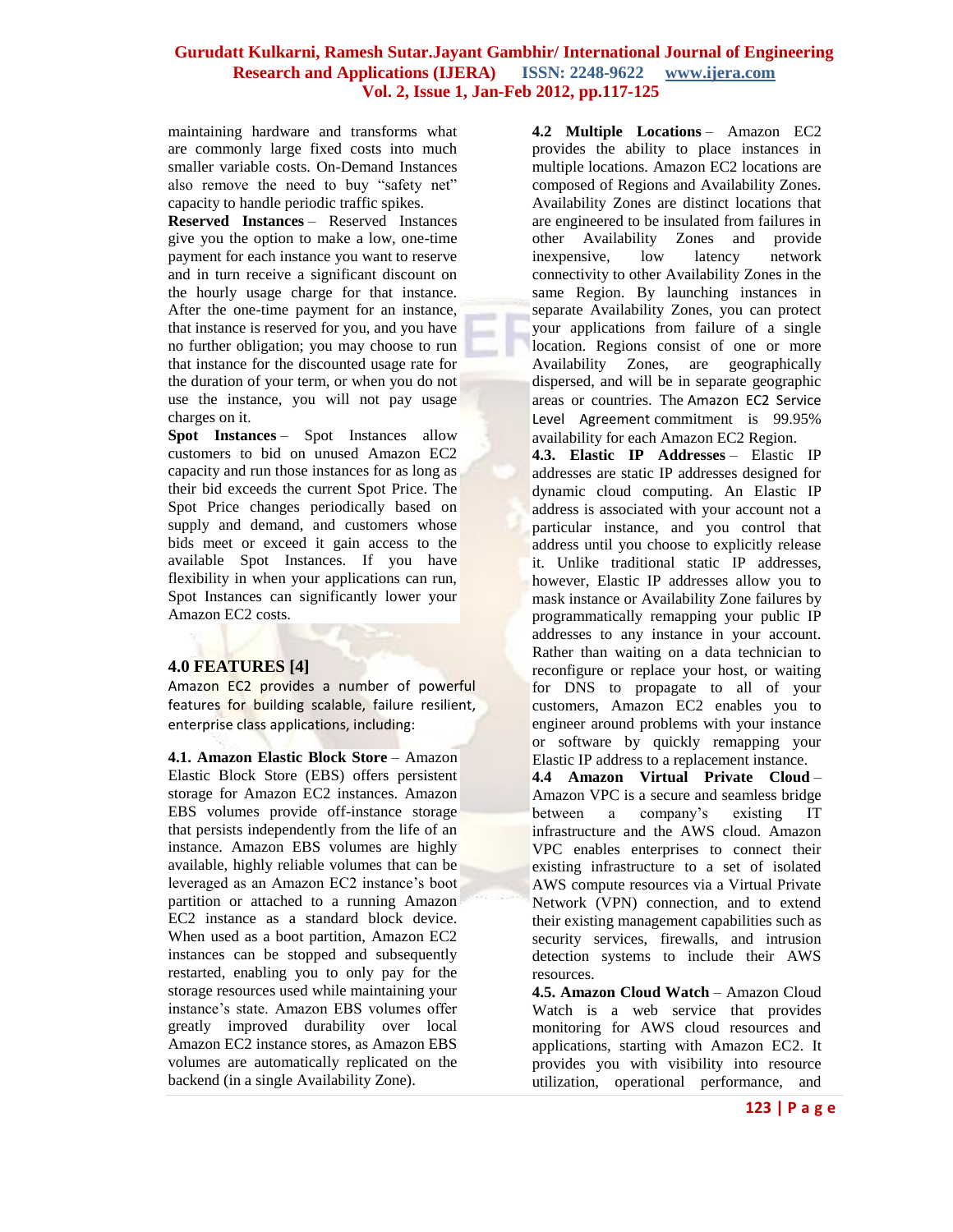maintaining hardware and transforms what are commonly large fixed costs into much smaller variable costs. On-Demand Instances also remove the need to buy "safety net" capacity to handle periodic traffic spikes.

**Reserved Instances** – Reserved Instances give you the option to make a low, one-time payment for each instance you want to reserve and in turn receive a significant discount on the hourly usage charge for that instance. After the one-time payment for an instance, that instance is reserved for you, and you have no further obligation; you may choose to run that instance for the discounted usage rate for the duration of your term, or when you do not use the instance, you will not pay usage charges on it.

**Spot Instances** – Spot Instances allow customers to bid on unused Amazon EC2 capacity and run those instances for as long as their bid exceeds the current Spot Price. The Spot Price changes periodically based on supply and demand, and customers whose bids meet or exceed it gain access to the available Spot Instances. If you have flexibility in when your applications can run, Spot Instances can significantly lower your Amazon EC2 costs.

# **4.0 FEATURES [4]**

Amazon EC2 provides a number of powerful features for building scalable, failure resilient, enterprise class applications, including:

**4.1. Amazon Elastic Block Store** – Amazon Elastic Block Store (EBS) offers persistent storage for Amazon EC2 instances. Amazon EBS volumes provide off-instance storage that persists independently from the life of an instance. Amazon EBS volumes are highly available, highly reliable volumes that can be leveraged as an Amazon EC2 instance's boot partition or attached to a running Amazon EC2 instance as a standard block device. When used as a boot partition, Amazon EC2 instances can be stopped and subsequently restarted, enabling you to only pay for the storage resources used while maintaining your instance's state. Amazon EBS volumes offer greatly improved durability over local Amazon EC2 instance stores, as Amazon EBS volumes are automatically replicated on the backend (in a single Availability Zone).

**4.2 Multiple Locations** – Amazon EC2 provides the ability to place instances in multiple locations. Amazon EC2 locations are composed of Regions and Availability Zones. Availability Zones are distinct locations that are engineered to be insulated from failures in other Availability Zones and provide inexpensive, low latency network connectivity to other Availability Zones in the same Region. By launching instances in separate Availability Zones, you can protect your applications from failure of a single location. Regions consist of one or more Availability Zones, are geographically dispersed, and will be in separate geographic areas or countries. The [Amazon EC2 Service](http://aws.amazon.com/ec2-sla)  [Level Agreement](http://aws.amazon.com/ec2-sla) commitment is 99.95% availability for each Amazon EC2 Region.

**4.3. Elastic IP Addresses** – Elastic IP addresses are static IP addresses designed for dynamic cloud computing. An Elastic IP address is associated with your account not a particular instance, and you control that address until you choose to explicitly release it. Unlike traditional static IP addresses, however, Elastic IP addresses allow you to mask instance or Availability Zone failures by programmatically remapping your public IP addresses to any instance in your account. Rather than waiting on a data technician to reconfigure or replace your host, or waiting for DNS to propagate to all of your customers, Amazon EC2 enables you to engineer around problems with your instance or software by quickly remapping your Elastic IP address to a replacement instance.

**4.4 Amazon Virtual Private Cloud** – Amazon VPC is a secure and seamless bridge between a company's existing IT infrastructure and the AWS cloud. Amazon VPC enables enterprises to connect their existing infrastructure to a set of isolated AWS compute resources via a Virtual Private Network (VPN) connection, and to extend their existing management capabilities such as security services, firewalls, and intrusion detection systems to include their AWS resources.

**4.5. Amazon Cloud Watch** – Amazon Cloud Watch is a web service that provides monitoring for AWS cloud resources and applications, starting with Amazon EC2. It provides you with visibility into resource utilization, operational performance, and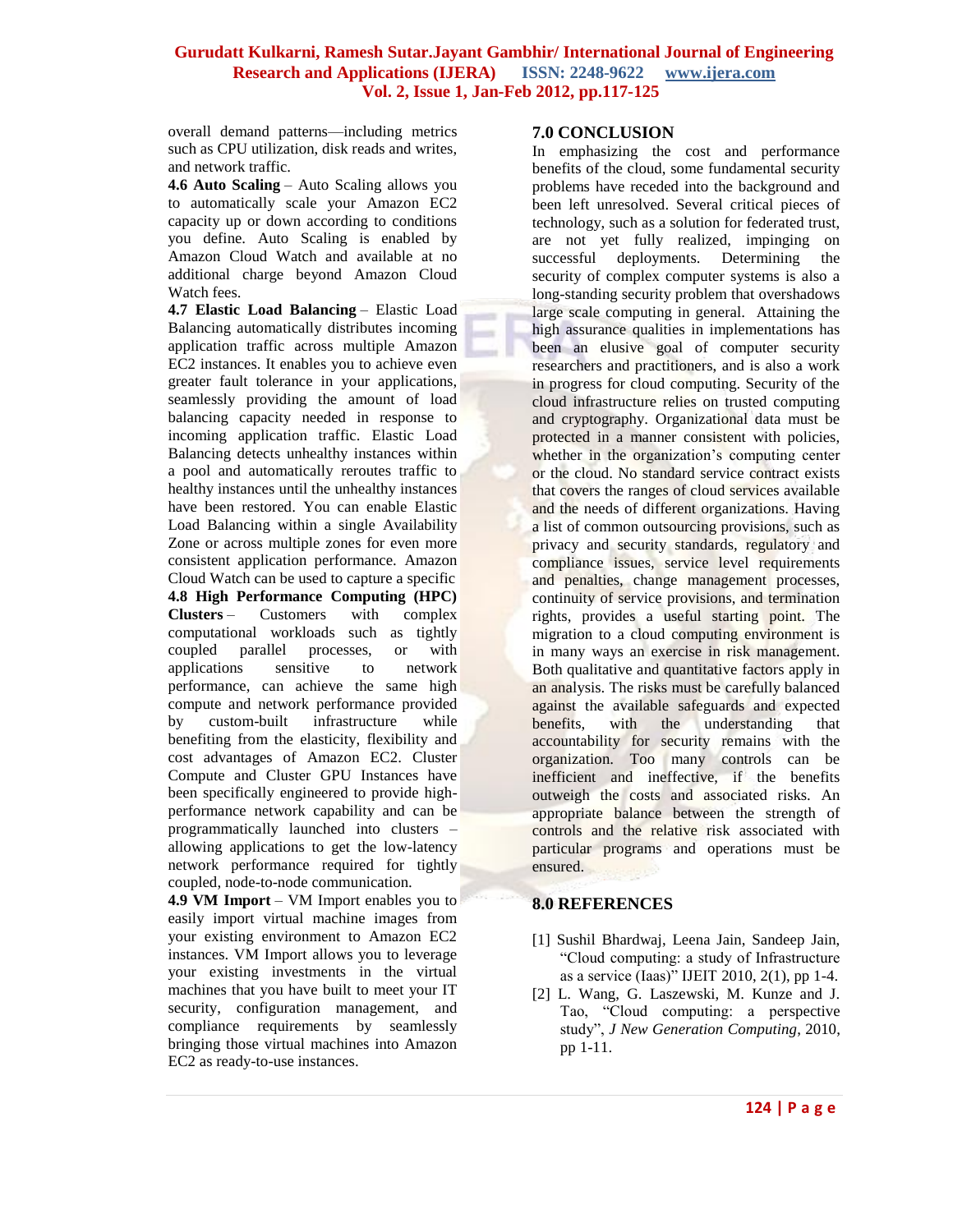overall demand patterns—including metrics such as CPU utilization, disk reads and writes, and network traffic.

**4.6 Auto Scaling** – Auto Scaling allows you to automatically scale your Amazon EC2 capacity up or down according to conditions you define. Auto Scaling is enabled by Amazon Cloud Watch and available at no additional charge beyond Amazon Cloud Watch fees.

**4.7 Elastic Load Balancing** – Elastic Load Balancing automatically distributes incoming application traffic across multiple Amazon EC2 instances. It enables you to achieve even greater fault tolerance in your applications, seamlessly providing the amount of load balancing capacity needed in response to incoming application traffic. Elastic Load Balancing detects unhealthy instances within a pool and automatically reroutes traffic to healthy instances until the unhealthy instances have been restored. You can enable Elastic Load Balancing within a single Availability Zone or across multiple zones for even more consistent application performance. Amazon Cloud Watch can be used to capture a specific **4.8 High Performance Computing (HPC) Clusters** – Customers with complex computational workloads such as tightly coupled parallel processes, or with applications sensitive to network performance, can achieve the same high compute and network performance provided by custom-built infrastructure while benefiting from the elasticity, flexibility and cost advantages of Amazon EC2. Cluster Compute and Cluster GPU Instances have been specifically engineered to provide highperformance network capability and can be programmatically launched into clusters – allowing applications to get the low-latency network performance required for tightly coupled, node-to-node communication.

**4.9 VM Import** – VM Import enables you to easily import virtual machine images from your existing environment to Amazon EC2 instances. VM Import allows you to leverage your existing investments in the virtual machines that you have built to meet your IT security, configuration management, and compliance requirements by seamlessly bringing those virtual machines into Amazon EC2 as ready-to-use instances.

### **7.0 CONCLUSION**

In emphasizing the cost and performance benefits of the cloud, some fundamental security problems have receded into the background and been left unresolved. Several critical pieces of technology, such as a solution for federated trust, are not yet fully realized, impinging on successful deployments. Determining the security of complex computer systems is also a long-standing security problem that overshadows large scale computing in general. Attaining the high assurance qualities in implementations has been an elusive goal of computer security researchers and practitioners, and is also a work in progress for cloud computing. Security of the cloud infrastructure relies on trusted computing and cryptography. Organizational data must be protected in a manner consistent with policies, whether in the organization's computing center or the cloud. No standard service contract exists that covers the ranges of cloud services available and the needs of different organizations. Having a list of common outsourcing provisions, such as privacy and security standards, regulatory and compliance issues, service level requirements and penalties, change management processes, continuity of service provisions, and termination rights, provides a useful starting point. The migration to a cloud computing environment is in many ways an exercise in risk management. Both qualitative and quantitative factors apply in an analysis. The risks must be carefully balanced against the available safeguards and expected benefits, with the understanding that accountability for security remains with the organization. Too many controls can be inefficient and ineffective, if the benefits outweigh the costs and associated risks. An appropriate balance between the strength of controls and the relative risk associated with particular programs and operations must be ensured.

### **8.0 REFERENCES**

- [1] Sushil Bhardwaj, Leena Jain, Sandeep Jain, ―Cloud computing: a study of Infrastructure as a service  $(Iaas)$ " IJEIT 2010, 2(1), pp 1-4.
- [2] L. Wang, G. Laszewski, M. Kunze and J. Tao, "Cloud computing: a perspective study", *J New Generation Computing*, 2010, pp 1-11.